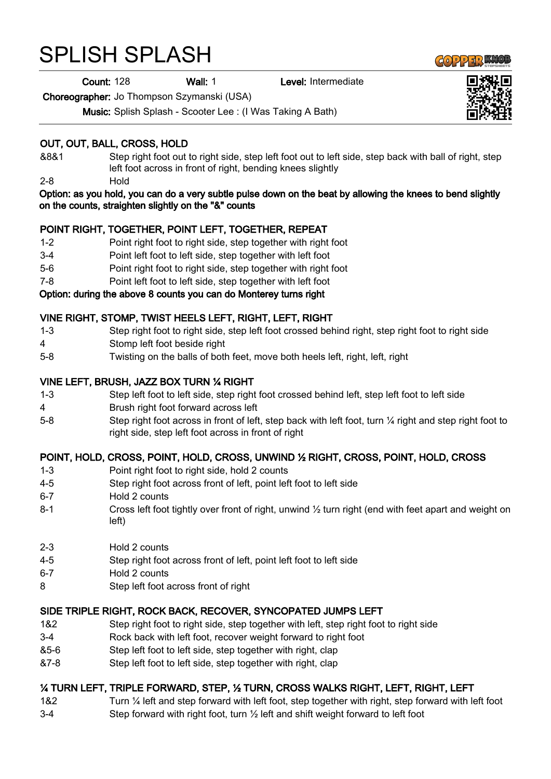# SPLISH SPLASH

Count: 128 Wall: 1 Level: Intermediate

Choreographer: Jo Thompson Szymanski (USA)

Music: Splish Splash - Scooter Lee : (I Was Taking A Bath)

# OUT, OUT, BALL, CROSS, HOLD

- &8&1 Step right foot out to right side, step left foot out to left side, step back with ball of right, step left foot across in front of right, bending knees slightly
- 2-8 Hold

#### Option: as you hold, you can do a very subtle pulse down on the beat by allowing the knees to bend slightly on the counts, straighten slightly on the "&" counts

## POINT RIGHT, TOGETHER, POINT LEFT, TOGETHER, REPEAT

- 1-2 Point right foot to right side, step together with right foot
- 3-4 Point left foot to left side, step together with left foot
- 5-6 Point right foot to right side, step together with right foot
- 7-8 Point left foot to left side, step together with left foot

## Option: during the above 8 counts you can do Monterey turns right

## VINE RIGHT, STOMP, TWIST HEELS LEFT, RIGHT, LEFT, RIGHT

- 1-3 Step right foot to right side, step left foot crossed behind right, step right foot to right side
- 4 Stomp left foot beside right
- 5-8 Twisting on the balls of both feet, move both heels left, right, left, right

#### VINE LEFT, BRUSH, JAZZ BOX TURN ¼ RIGHT

- 1-3 Step left foot to left side, step right foot crossed behind left, step left foot to left side
- 4 Brush right foot forward across left
- 5-8 Step right foot across in front of left, step back with left foot, turn 1/4 right and step right foot to right side, step left foot across in front of right

## POINT, HOLD, CROSS, POINT, HOLD, CROSS, UNWIND ½ RIGHT, CROSS, POINT, HOLD, CROSS

- 1-3 Point right foot to right side, hold 2 counts
- 4-5 Step right foot across front of left, point left foot to left side
- 6-7 Hold 2 counts
- 8-1 Cross left foot tightly over front of right, unwind  $\frac{1}{2}$  turn right (end with feet apart and weight on left)
- 2-3 Hold 2 counts
- 4-5 Step right foot across front of left, point left foot to left side
- 6-7 Hold 2 counts
- 8 Step left foot across front of right

# SIDE TRIPLE RIGHT, ROCK BACK, RECOVER, SYNCOPATED JUMPS LEFT

- 1&2 Step right foot to right side, step together with left, step right foot to right side
- 3-4 Rock back with left foot, recover weight forward to right foot
- &5-6 Step left foot to left side, step together with right, clap
- &7-8 Step left foot to left side, step together with right, clap

# ¼ TURN LEFT, TRIPLE FORWARD, STEP, ½ TURN, CROSS WALKS RIGHT, LEFT, RIGHT, LEFT

1&2 Turn ¼ left and step forward with left foot, step together with right, step forward with left foot 3-4 Step forward with right foot, turn ½ left and shift weight forward to left foot



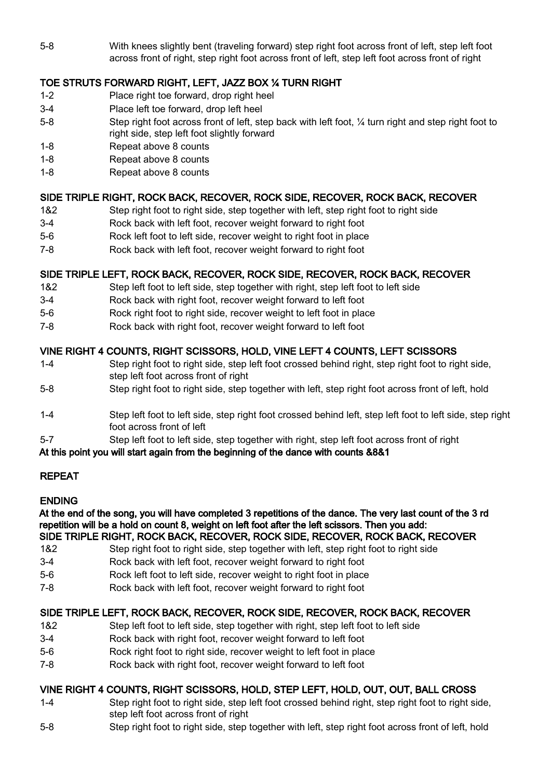5-8 With knees slightly bent (traveling forward) step right foot across front of left, step left foot across front of right, step right foot across front of left, step left foot across front of right

# TOE STRUTS FORWARD RIGHT, LEFT, JAZZ BOX ¼ TURN RIGHT

- 1-2 Place right toe forward, drop right heel
- 3-4 Place left toe forward, drop left heel
- 5-8 Step right foot across front of left, step back with left foot, ¼ turn right and step right foot to right side, step left foot slightly forward
- 1-8 Repeat above 8 counts
- 1-8 Repeat above 8 counts
- 1-8 Repeat above 8 counts

## SIDE TRIPLE RIGHT, ROCK BACK, RECOVER, ROCK SIDE, RECOVER, ROCK BACK, RECOVER

- 1&2 Step right foot to right side, step together with left, step right foot to right side
- 3-4 Rock back with left foot, recover weight forward to right foot
- 5-6 Rock left foot to left side, recover weight to right foot in place
- 7-8 Rock back with left foot, recover weight forward to right foot

# SIDE TRIPLE LEFT, ROCK BACK, RECOVER, ROCK SIDE, RECOVER, ROCK BACK, RECOVER

- 1&2 Step left foot to left side, step together with right, step left foot to left side
- 3-4 Rock back with right foot, recover weight forward to left foot
- 5-6 Rock right foot to right side, recover weight to left foot in place
- 7-8 Rock back with right foot, recover weight forward to left foot

# VINE RIGHT 4 COUNTS, RIGHT SCISSORS, HOLD, VINE LEFT 4 COUNTS, LEFT SCISSORS

- 1-4 Step right foot to right side, step left foot crossed behind right, step right foot to right side, step left foot across front of right
- 5-8 Step right foot to right side, step together with left, step right foot across front of left, hold
- 1-4 Step left foot to left side, step right foot crossed behind left, step left foot to left side, step right foot across front of left
- 5-7 Step left foot to left side, step together with right, step left foot across front of right

## At this point you will start again from the beginning of the dance with counts &8&1

# REPEAT

## ENDING

At the end of the song, you will have completed 3 repetitions of the dance. The very last count of the 3 rd repetition will be a hold on count 8, weight on left foot after the left scissors. Then you add: SIDE TRIPLE RIGHT, ROCK BACK, RECOVER, ROCK SIDE, RECOVER, ROCK BACK, RECOVER

- 1&2 Step right foot to right side, step together with left, step right foot to right side
- 3-4 Rock back with left foot, recover weight forward to right foot
- 5-6 Rock left foot to left side, recover weight to right foot in place
- 7-8 Rock back with left foot, recover weight forward to right foot

# SIDE TRIPLE LEFT, ROCK BACK, RECOVER, ROCK SIDE, RECOVER, ROCK BACK, RECOVER

- 1&2 Step left foot to left side, step together with right, step left foot to left side
- 3-4 Rock back with right foot, recover weight forward to left foot
- 5-6 Rock right foot to right side, recover weight to left foot in place
- 7-8 Rock back with right foot, recover weight forward to left foot

# VINE RIGHT 4 COUNTS, RIGHT SCISSORS, HOLD, STEP LEFT, HOLD, OUT, OUT, BALL CROSS

- 1-4 Step right foot to right side, step left foot crossed behind right, step right foot to right side, step left foot across front of right
- 5-8 Step right foot to right side, step together with left, step right foot across front of left, hold